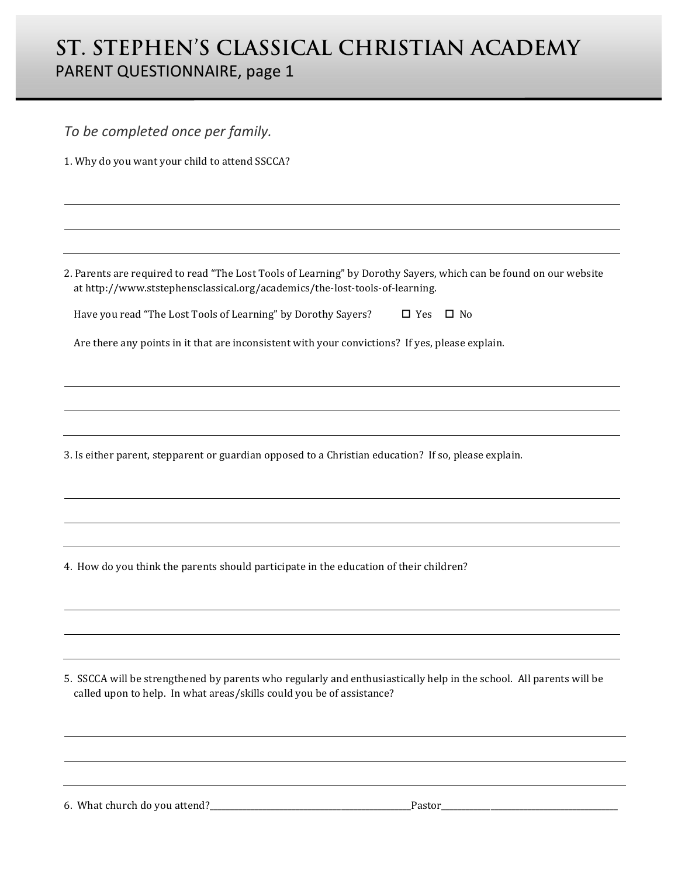## **ST. STEPHEN'S CLASSICAL CHRISTIAN ACADEMY** PARENT QUESTIONNAIRE, page 1

| To be completed once per family.                                                                                                                                                                 |
|--------------------------------------------------------------------------------------------------------------------------------------------------------------------------------------------------|
| 1. Why do you want your child to attend SSCCA?                                                                                                                                                   |
|                                                                                                                                                                                                  |
|                                                                                                                                                                                                  |
|                                                                                                                                                                                                  |
|                                                                                                                                                                                                  |
| 2. Parents are required to read "The Lost Tools of Learning" by Dorothy Sayers, which can be found on our website<br>at http://www.ststephensclassical.org/academics/the-lost-tools-of-learning. |
| Have you read "The Lost Tools of Learning" by Dorothy Sayers?<br>$\square$ No<br>$\square$ Yes                                                                                                   |
| Are there any points in it that are inconsistent with your convictions? If yes, please explain.                                                                                                  |
|                                                                                                                                                                                                  |
|                                                                                                                                                                                                  |
|                                                                                                                                                                                                  |
|                                                                                                                                                                                                  |
| 3. Is either parent, stepparent or guardian opposed to a Christian education? If so, please explain.                                                                                             |
|                                                                                                                                                                                                  |
|                                                                                                                                                                                                  |
|                                                                                                                                                                                                  |
| 4. How do you think the parents should participate in the education of their children?                                                                                                           |
|                                                                                                                                                                                                  |
|                                                                                                                                                                                                  |
|                                                                                                                                                                                                  |
|                                                                                                                                                                                                  |
| 5. SSCCA will be strengthened by parents who regularly and enthusiastically help in the school. All parents will be<br>called upon to help. In what areas/skills could you be of assistance?     |
|                                                                                                                                                                                                  |
|                                                                                                                                                                                                  |
|                                                                                                                                                                                                  |
|                                                                                                                                                                                                  |
|                                                                                                                                                                                                  |